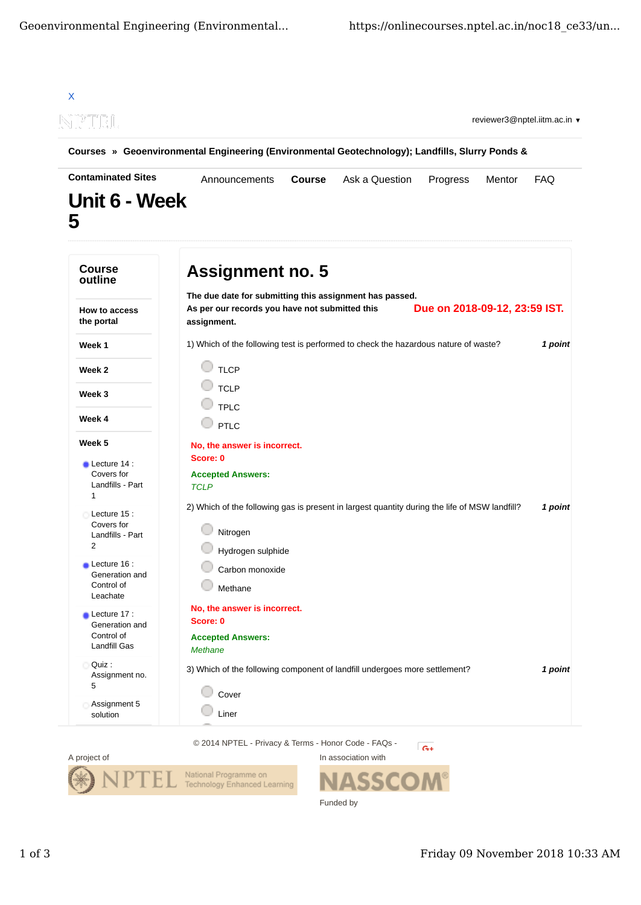



Funded by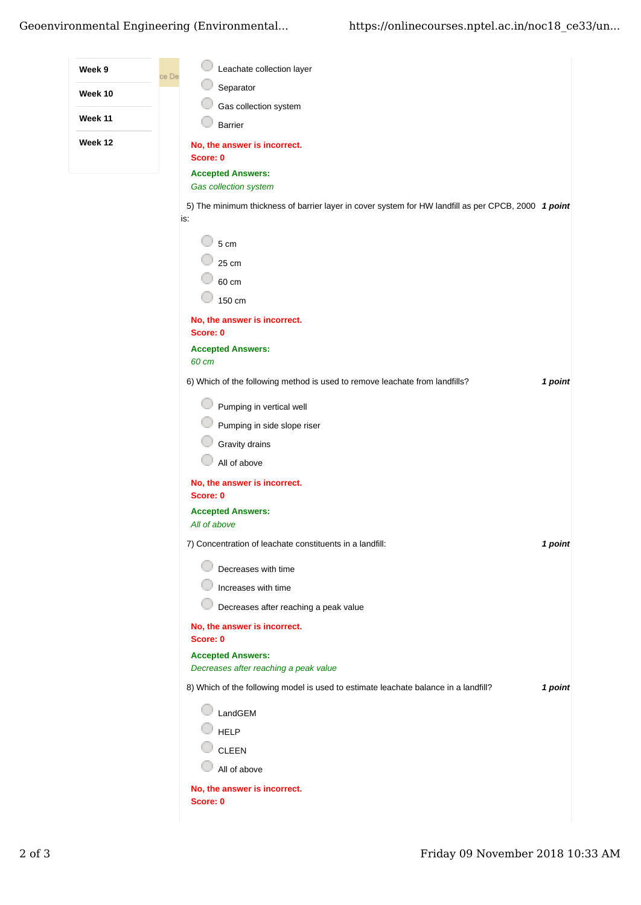## Geoenvironmental Engineering (Environmental... https://onlinecourses.nptel.ac.in/noc18 ce33/un...